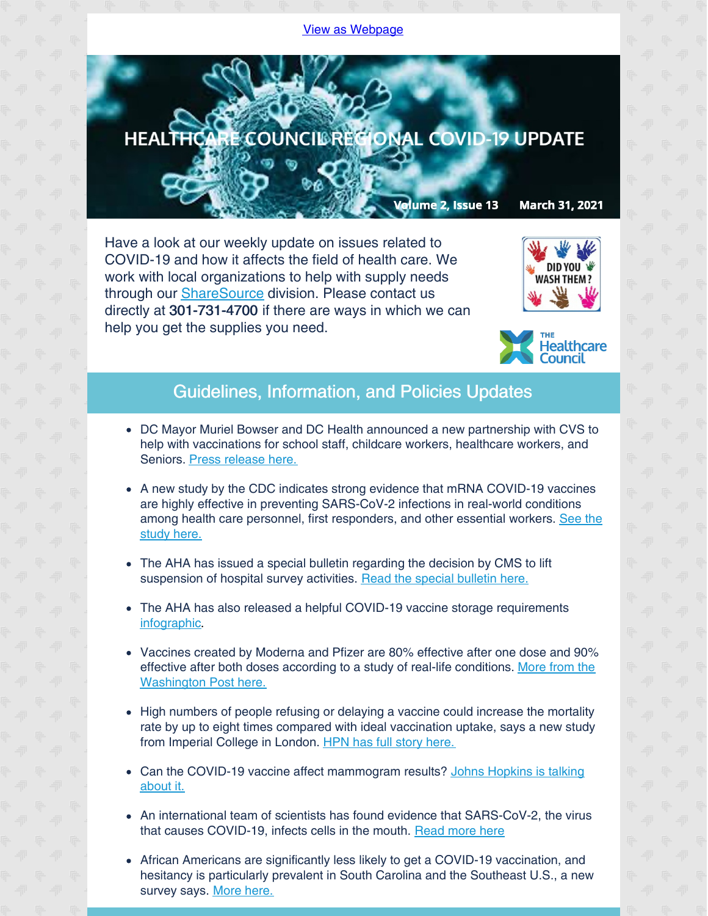## View as [Webpage](http://campaign.r20.constantcontact.com/render?ca=9b9c4736-3a53-4015-be58-4c2b43ce8773&preview=true&m=1135298390468&id=preview)



Have a look at our weekly update on issues related to COVID-19 and how it affects the field of health care. We work with local organizations to help with supply needs through our [ShareSource](https://www.share-source.org/) division. Please contact us directly at 301-731-4700 if there are ways in which we can help you get the supplies you need.





## Guidelines, Information, and Policies Updates

- DC Mayor Muriel Bowser and DC Health announced a new partnership with CVS to help with vaccinations for school staff, childcare workers, healthcare workers, and Seniors. Press [release](https://mayor.dc.gov/release/mayor-bowser-and-dc-health-announce-new-partnership-cvs-vaccinate-educators-and-school-staff) here.
- A new study by the CDC indicates strong evidence that mRNA COVID-19 vaccines are highly effective in preventing SARS-CoV-2 infections in real-world conditions among health care personnel, first [responders,](https://www.cdc.gov/media/releases/2021/p0329-COVID-19-Vaccines.html#:~:text=LinkedIn-,CDC Real-World Study Confirms Protective,of mRNA COVID-19 Vaccines&text=A new CDC study provides,responders%2C and other essential workers) and other essential workers. See the study here.
- The AHA has issued a special bulletin regarding the decision by CMS to lift suspension of hospital survey activities. Read the special [bulletin](https://contentsharing.net/actions/email_web_version.cfm?recipient_id=3212845734&message_id=20093628&user_id=AHA_MCHF&group_id=8160412&jobid=51259524) here.
- The AHA has also released a helpful COVID-19 vaccine storage requirements [infographic](https://contentsharing.net/actions/email_web_version.cfm?recipient_id=3212845734&message_id=20093135&user_id=AHA_MCHF&group_id=8160412&jobid=51258414).
- Vaccines created by Moderna and Pfizer are 80% effective after one dose and 90% effective after both doses according to a study of real-life [conditions.](https://www.washingtonpost.com/health/2021/03/29/vaccine-effective-essential-workers-study/?mkt_tok=ODUwLVRBQS01MTEAAAF8Ig-u_m5IxFtoZ8qdXGegI-uj13gZEdjMN0nR5pFVr9_cSsyVmp0iPCqjF9oxkBkDV9sU-f5lOEJPOmHtP1YRyp0QbPMTau3h0S5i5wvOBtAz) More from the Washington Post here.
- High numbers of people refusing or delaying a vaccine could increase the mortality rate by up to eight times compared with ideal vaccination uptake, says a new study from Imperial College in London. HPN has full story [here.](https://www.hpnonline.com/infection-prevention/screening-surveillance/article/21215978/covid19-vaccine-hesitancy-could-lead-to-thousands-of-extra-deaths?utm_source=HPN+Daily+Newsletter&utm_medium=email&utm_campaign=CPS210325120&o_eid=8887J6354667A2S&rdx.ident=%5Bobject+Object%5D&oly_enc_id=8887J6354667A2S)
- Can the COVID-19 vaccine affect [mammogram](https://www.hopkinsmedicine.org/health/conditions-and-diseases/coronavirus/covid19-vaccine-can-it-affect-your-mammogram-results?utm_medium=social&utm_source=Twitter&utm_campaign=Coronavirus&utm_term=COVID19VaccineCanItAffectYourMammogramResults&utm_content=Radiology) results? Johns Hopkins is talking about it.
- An international team of scientists has found evidence that SARS-CoV-2, the virus that causes COVID-19, infects cells in the mouth. [Read](https://www.hpnonline.com/surgical-critical-care/article/21215912/scientists-find-evidence-that-novel-coronavirus-infects-the-mouths-cells?utm_source=HPN+Daily+Newsletter&utm_medium=email&utm_campaign=CPS210325045&o_eid=8887J6354667A2S&rdx.ident=%5Bobject+Object%5D&oly_enc_id=8887J6354667A2S) more here
- African Americans are significantly less likely to get a COVID-19 vaccination, and hesitancy is particularly prevalent in South Carolina and the Southeast U.S., a new survey says. [More](https://www.managedhealthcareexecutive.com/view/covid-19-vaccine-hesitancy-common-among-african-americans-in-the-southeast?utm_source=sfmc&utm_medium=email&utm_campaign=03242021_WEL-21-MHD0261_MHE eNL_US_Only&eKey=bHBpdHRvbkBoZWFsdGhjYXJlLWNvdW5jaWwub3Jn) here.